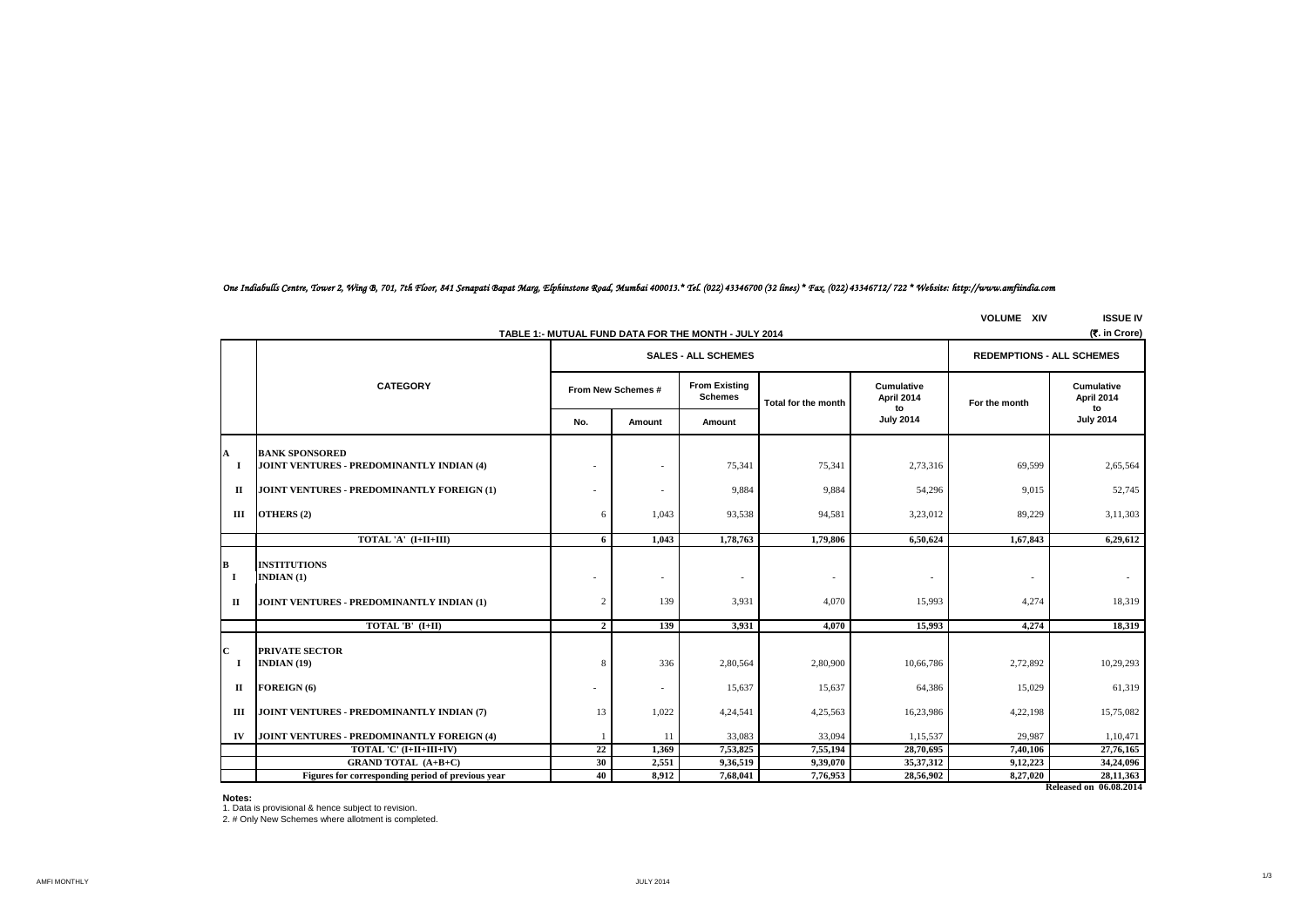# *One Indiabulls Centre, Tower 2, Wing B, 701, 7th Floor, 841 Senapati Bapat Marg, Elphinstone Road, Mumbai 400013.\* Tel. (022) 43346700 (32 lines) \* Fax. (022) 43346712/ 722 \* Website: http://www.amfiindia.com*

**VOLUME XIV ISSUE IV**

|                    | (र. in Crore)<br>TABLE 1:- MUTUAL FUND DATA FOR THE MONTH - JULY 2014            |                    |                            |                                        |                     |                                       |                 |                                |  |
|--------------------|----------------------------------------------------------------------------------|--------------------|----------------------------|----------------------------------------|---------------------|---------------------------------------|-----------------|--------------------------------|--|
|                    |                                                                                  |                    | <b>SALES - ALL SCHEMES</b> | <b>REDEMPTIONS - ALL SCHEMES</b>       |                     |                                       |                 |                                |  |
|                    | <b>CATEGORY</b>                                                                  | From New Schemes # |                            | <b>From Existing</b><br><b>Schemes</b> | Total for the month | <b>Cumulative</b><br>April 2014<br>to | For the month   | Cumulative<br>April 2014<br>to |  |
|                    |                                                                                  | No.                | Amount                     | Amount                                 |                     | <b>July 2014</b>                      |                 | <b>July 2014</b>               |  |
| A                  | <b>BANK SPONSORED</b>                                                            |                    |                            |                                        |                     |                                       |                 |                                |  |
| $\bf{I}$           | JOINT VENTURES - PREDOMINANTLY INDIAN (4)                                        |                    |                            | 75,341                                 | 75,341              | 2,73,316                              | 69,599          | 2,65,564                       |  |
| $\Pi$              | JOINT VENTURES - PREDOMINANTLY FOREIGN (1)                                       |                    |                            | 9,884                                  | 9,884               | 54,296                                | 9,015           | 52,745                         |  |
| Ш                  | OTHERS (2)                                                                       | 6                  | 1,043                      | 93,538                                 | 94,581              | 3,23,012                              | 89,229          | 3,11,303                       |  |
|                    | TOTAL 'A' (I+II+III)                                                             | 6                  | 1,043                      | 1,78,763                               | 1,79,806            | 6,50,624                              | 1,67,843        | 6,29,612                       |  |
| в<br><b>I</b><br>П | <b>INSTITUTIONS</b><br>INDIAN $(1)$<br>JOINT VENTURES - PREDOMINANTLY INDIAN (1) | 2                  | 139                        | $\sim$<br>3,931                        | ٠<br>4,070          | 15,993                                | $\sim$<br>4,274 | 18,319                         |  |
|                    | TOTAL 'B' $(I+II)$                                                               | $\mathbf{2}$       | 139                        | 3,931                                  | 4,070               | 15,993                                | 4,274           | 18,319                         |  |
| C<br>-1            | <b>PRIVATE SECTOR</b><br>INDIAN $(19)$                                           | 8                  | 336                        | 2,80,564                               | 2,80,900            | 10,66,786                             | 2,72,892        | 10,29,293                      |  |
| $\mathbf{I}$       | FOREIGN (6)                                                                      | ۰                  |                            | 15,637                                 | 15,637              | 64,386                                | 15,029          | 61,319                         |  |
| Ш                  | JOINT VENTURES - PREDOMINANTLY INDIAN (7)                                        | 13                 | 1,022                      | 4,24,541                               | 4,25,563            | 16,23,986                             | 4,22,198        | 15,75,082                      |  |
| IV                 | <b>JOINT VENTURES - PREDOMINANTLY FOREIGN (4)</b>                                |                    | 11                         | 33,083                                 | 33,094              | 1,15,537                              | 29.987          | 1,10,471                       |  |
|                    | TOTAL 'C' (I+II+III+IV)                                                          | 22                 | 1,369                      | 7,53,825                               | 7,55,194            | 28,70,695                             | 7,40,106        | 27,76,165                      |  |
|                    | <b>GRAND TOTAL (A+B+C)</b>                                                       | 30                 | 2,551                      | 9,36,519                               | 9,39,070            | 35, 37, 312                           | 9,12,223        | 34,24,096                      |  |
|                    | Figures for corresponding period of previous year                                | 40                 | 8,912                      | 7,68,041                               | 7,76,953            | 28,56,902                             | 8,27,020        | 28,11,363                      |  |
|                    | Released on 06.08.2014                                                           |                    |                            |                                        |                     |                                       |                 |                                |  |

#### **Notes:**

1. Data is provisional & hence subject to revision. 2. # Only New Schemes where allotment is completed.

AMFI MONTHLY JULY 2014

1/3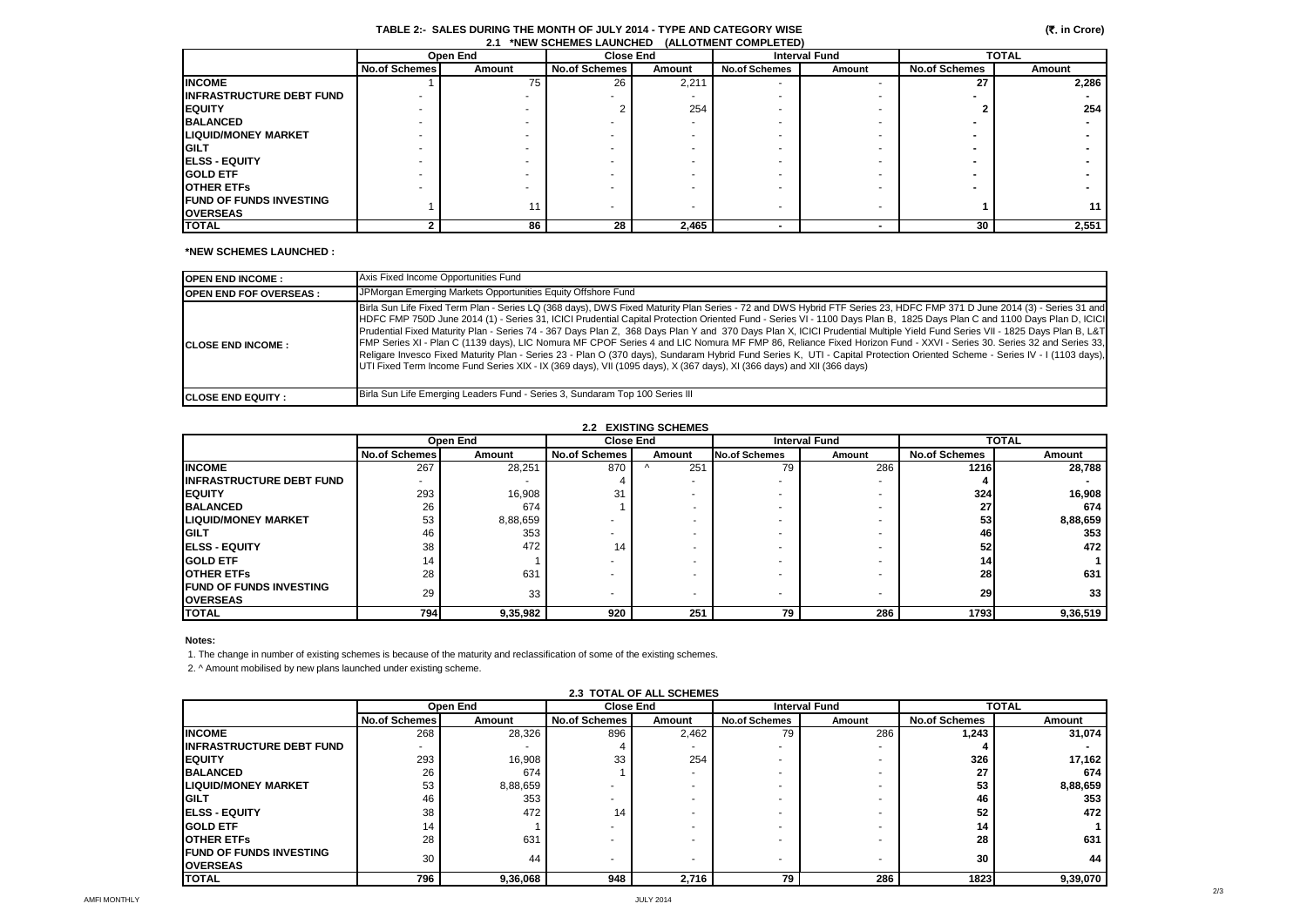## **TABLE 2:- SALES DURING THE MONTH OF JULY 2014 - TYPE AND CATEGORY WISE 2.1 \*NEW SCHEMES LAUNCHED (ALLOTMENT COMPLETED)**

|                                  | Open End             |        | <b>Close End</b>     |        | <b>Interval Fund</b> |        | <b>TOTAL</b>         |        |
|----------------------------------|----------------------|--------|----------------------|--------|----------------------|--------|----------------------|--------|
|                                  | <b>No.of Schemes</b> | Amount | <b>No.of Schemes</b> | Amount | <b>No.of Schemes</b> | Amount | <b>No.of Schemes</b> | Amount |
| <b>INCOME</b>                    |                      | 75     | 26                   | 2,211  |                      |        | 27                   | 2,286  |
| <b>IINFRASTRUCTURE DEBT FUND</b> |                      |        |                      |        |                      |        |                      |        |
| <b>EQUITY</b>                    |                      |        |                      | 254    |                      |        |                      | 254    |
| <b>BALANCED</b>                  |                      |        |                      |        |                      |        |                      |        |
| <b>LIQUID/MONEY MARKET</b>       |                      |        |                      |        |                      |        |                      |        |
| <b>GILT</b>                      |                      |        |                      |        |                      |        |                      |        |
| <b>IELSS - EQUITY</b>            |                      |        |                      |        |                      |        |                      |        |
| <b>GOLD ETF</b>                  |                      |        |                      |        |                      |        |                      |        |
| <b>OTHER ETFS</b>                |                      |        |                      |        |                      |        |                      |        |
| <b>IFUND OF FUNDS INVESTING</b>  |                      | 11     |                      |        |                      |        |                      | 11     |
| <b>OVERSEAS</b>                  |                      |        |                      |        |                      |        |                      |        |
| <b>TOTAL</b>                     |                      | 86     | 28                   | 2,465  |                      |        | 30                   | 2,551  |

## **\*NEW SCHEMES LAUNCHED :**

| <b>OPEN END INCOME:</b>       | Axis Fixed Income Opportunities Fund                                                                                                                                                                                                                                                                                                                                                                                                                                                                                                                                                                                                                                                                                                                                                                                                                                                                                                                                                                         |
|-------------------------------|--------------------------------------------------------------------------------------------------------------------------------------------------------------------------------------------------------------------------------------------------------------------------------------------------------------------------------------------------------------------------------------------------------------------------------------------------------------------------------------------------------------------------------------------------------------------------------------------------------------------------------------------------------------------------------------------------------------------------------------------------------------------------------------------------------------------------------------------------------------------------------------------------------------------------------------------------------------------------------------------------------------|
| <b>OPEN END FOF OVERSEAS:</b> | JPMorgan Emerging Markets Opportunities Equity Offshore Fund                                                                                                                                                                                                                                                                                                                                                                                                                                                                                                                                                                                                                                                                                                                                                                                                                                                                                                                                                 |
| <b>CLOSE END INCOME:</b>      | Birla Sun Life Fixed Term Plan - Series LQ (368 days), DWS Fixed Maturity Plan Series - 72 and DWS Hybrid FTF Series 23, HDFC FMP 371 D June 2014 (3) - Series 31 and<br>HDFC FMP 750D June 2014 (1) - Series 31, ICICI Prudential Capital Protection Oriented Fund - Series VI - 1100 Days Plan B, 1825 Days Plan C and 1100 Days Plan D, ICICI<br>Prudential Fixed Maturity Plan - Series 74 - 367 Days Plan Z, 368 Days Plan Y and 370 Days Plan X, ICICI Prudential Multiple Yield Fund Series VII - 1825 Days Plan B, L&T<br>FMP Series XI - Plan C (1139 days), LIC Nomura MF CPOF Series 4 and LIC Nomura MF FMP 86, Reliance Fixed Horizon Fund - XXVI - Series 30. Series 32 and Series 33,<br>Religare Invesco Fixed Maturity Plan - Series 23 - Plan O (370 days), Sundaram Hybrid Fund Series K, UTI - Capital Protection Oriented Scheme - Series IV - I (1103 days),<br>UTI Fixed Term Income Fund Series XIX - IX (369 days), VII (1095 days), X (367 days), XI (366 days) and XII (366 days) |
| <b>ICLOSE END EQUITY :</b>    | Birla Sun Life Emerging Leaders Fund - Series 3, Sundaram Top 100 Series III                                                                                                                                                                                                                                                                                                                                                                                                                                                                                                                                                                                                                                                                                                                                                                                                                                                                                                                                 |

| <b>2.2 EXISTING SCHEMES</b>                        |                      |          |                      |        |               |                      |                      |              |  |
|----------------------------------------------------|----------------------|----------|----------------------|--------|---------------|----------------------|----------------------|--------------|--|
|                                                    |                      | Open End | <b>Close End</b>     |        |               | <b>Interval Fund</b> |                      | <b>TOTAL</b> |  |
|                                                    | <b>No.of Schemes</b> | Amount   | <b>No.of Schemes</b> | Amount | No.of Schemes | Amount               | <b>No.of Schemes</b> | Amount       |  |
| <b>INCOME</b>                                      | 267                  | 28,251   | 870                  | 251    | 79            | 286                  | 1216                 | 28.788       |  |
| <b>IINFRASTRUCTURE DEBT FUND</b>                   |                      |          |                      |        |               |                      |                      |              |  |
| <b>IEQUITY</b>                                     | 293                  | 16,908   | 31                   |        |               |                      | 324                  | 16,908       |  |
| <b>BALANCED</b>                                    | 26                   | 674      |                      |        |               |                      | 27                   | 674          |  |
| <b>LIQUID/MONEY MARKET</b>                         | 53                   | 8,88,659 |                      |        |               |                      | 53                   | 8,88,659     |  |
| <b>GILT</b>                                        | 46                   | 353      |                      |        |               |                      | 46                   | 353          |  |
| <b>IELSS - EQUITY</b>                              | 38                   | 472      | 14                   |        |               |                      | 52                   | 472          |  |
| <b>GOLD ETF</b>                                    | 14                   |          |                      |        |               |                      | 14                   |              |  |
| <b>OTHER ETFS</b>                                  | 28                   | 631      |                      |        |               |                      | 28                   | 631          |  |
| <b>IFUND OF FUNDS INVESTING</b><br><b>OVERSEAS</b> | 29                   | 33       |                      |        |               |                      | 29                   | 33           |  |
| <b>TOTAL</b>                                       | 794                  | 9,35,982 | 920                  | 251    | 79            | 286                  | 1793                 | 9,36,519     |  |

#### **Notes:**

1. The change in number of existing schemes is because of the maturity and reclassification of some of the existing schemes.

2. ^ Amount mobilised by new plans launched under existing scheme.

| <b>2.3 TOTAL OF ALL SCHEMES</b> |                      |          |                      |        |                          |        |                      |          |
|---------------------------------|----------------------|----------|----------------------|--------|--------------------------|--------|----------------------|----------|
|                                 |                      | Open End | <b>Close End</b>     |        | <b>Interval Fund</b>     |        | <b>TOTAL</b>         |          |
|                                 | <b>No.of Schemes</b> | Amount   | <b>No.of Schemes</b> | Amount | <b>No.of Schemes</b>     | Amount | <b>No.of Schemes</b> | Amount   |
| <b>INCOME</b>                   | 268                  | 28,326   | 896                  | 2,462  | 79                       | 286    | 1,243                | 31,074   |
| <b>INFRASTRUCTURE DEBT FUND</b> |                      |          |                      |        | ۰                        |        |                      |          |
| <b>IEQUITY</b>                  | 293                  | 16,908   | 33                   | 254    | ۰                        |        | 326                  | 17,162   |
| <b>BALANCED</b>                 | 26                   | 674      |                      |        | ۰                        |        | 27                   | 674      |
| <b>LIQUID/MONEY MARKET</b>      | 53                   | 8,88,659 |                      |        |                          |        | 53                   | 8,88,659 |
| <b>IGILT</b>                    | 46                   | 353      |                      |        | ۰                        |        | 46                   | 353      |
| <b>IELSS - EQUITY</b>           | 38                   | 472      | 14                   |        | ۰                        |        | 52                   | 472      |
| <b>GOLD ETF</b>                 | 14                   |          |                      |        | ۰                        |        | 14                   |          |
| <b>OTHER ETFS</b>               | 28                   | 631      |                      |        | $\overline{\phantom{a}}$ |        | 28                   | 631      |
| <b>FUND OF FUNDS INVESTING</b>  | 30                   | 44       |                      |        |                          |        | 30                   | 44       |
| <b>OVERSEAS</b>                 |                      |          |                      |        | $\overline{\phantom{a}}$ |        |                      |          |
| <b>TOTAL</b>                    | 796                  | 9,36,068 | 948                  | 2,716  | 79                       | 286    | 1823                 | 9,39,070 |